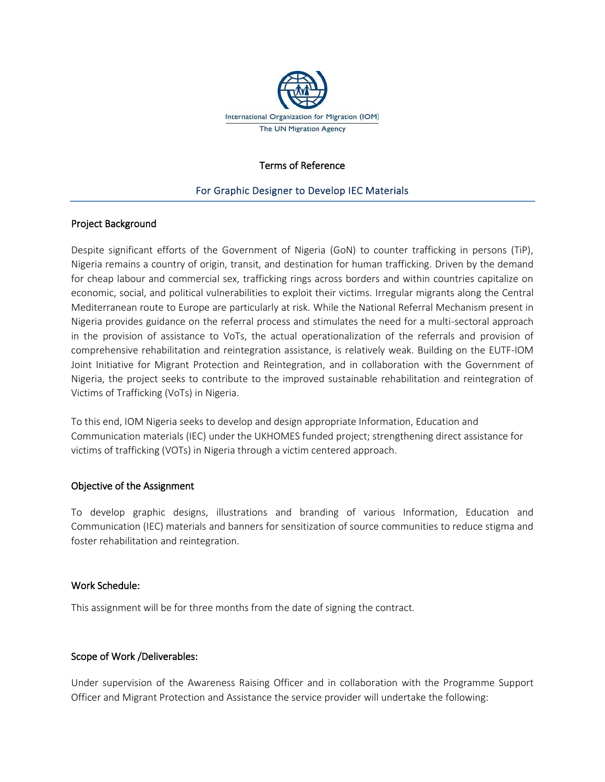

### Terms of Reference

### For Graphic Designer to Develop IEC Materials

### Project Background

Despite significant efforts of the Government of Nigeria (GoN) to counter trafficking in persons (TiP), Nigeria remains a country of origin, transit, and destination for human trafficking. Driven by the demand for cheap labour and commercial sex, trafficking rings across borders and within countries capitalize on economic, social, and political vulnerabilities to exploit their victims. Irregular migrants along the Central Mediterranean route to Europe are particularly at risk. While the National Referral Mechanism present in Nigeria provides guidance on the referral process and stimulates the need for a multi-sectoral approach in the provision of assistance to VoTs, the actual operationalization of the referrals and provision of comprehensive rehabilitation and reintegration assistance, is relatively weak. Building on the EUTF-IOM Joint Initiative for Migrant Protection and Reintegration, and in collaboration with the Government of Nigeria, the project seeks to contribute to the improved sustainable rehabilitation and reintegration of Victims of Trafficking (VoTs) in Nigeria.

To this end, IOM Nigeria seeks to develop and design appropriate Information, Education and Communication materials (IEC) under the UKHOMES funded project; strengthening direct assistance for victims of trafficking (VOTs) in Nigeria through a victim centered approach.

### Objective of the Assignment

To develop graphic designs, illustrations and branding of various Information, Education and Communication (IEC) materials and banners for sensitization of source communities to reduce stigma and foster rehabilitation and reintegration.

### Work Schedule:

This assignment will be for three months from the date of signing the contract.

### Scope of Work /Deliverables:

Under supervision of the Awareness Raising Officer and in collaboration with the Programme Support Officer and Migrant Protection and Assistance the service provider will undertake the following: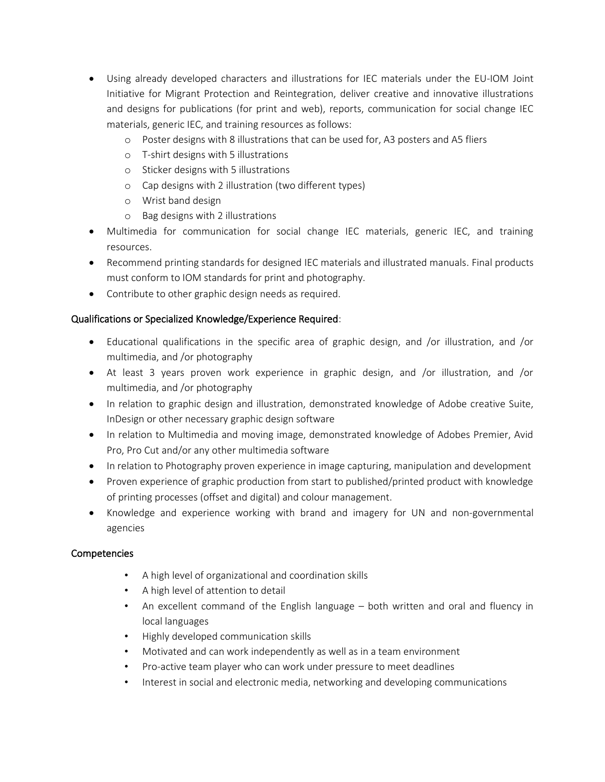- Using already developed characters and illustrations for IEC materials under the EU-IOM Joint Initiative for Migrant Protection and Reintegration, deliver creative and innovative illustrations and designs for publications (for print and web), reports, communication for social change IEC materials, generic IEC, and training resources as follows:
	- o Poster designs with 8 illustrations that can be used for, A3 posters and A5 fliers
	- o T-shirt designs with 5 illustrations
	- o Sticker designs with 5 illustrations
	- o Cap designs with 2 illustration (two different types)
	- o Wrist band design
	- o Bag designs with 2 illustrations
- Multimedia for communication for social change IEC materials, generic IEC, and training resources.
- Recommend printing standards for designed IEC materials and illustrated manuals. Final products must conform to IOM standards for print and photography.
- Contribute to other graphic design needs as required.

# Qualifications or Specialized Knowledge/Experience Required:

- Educational qualifications in the specific area of graphic design, and /or illustration, and /or multimedia, and /or photography
- At least 3 years proven work experience in graphic design, and /or illustration, and /or multimedia, and /or photography
- In relation to graphic design and illustration, demonstrated knowledge of Adobe creative Suite, InDesign or other necessary graphic design software
- In relation to Multimedia and moving image, demonstrated knowledge of Adobes Premier, Avid Pro, Pro Cut and/or any other multimedia software
- In relation to Photography proven experience in image capturing, manipulation and development
- Proven experience of graphic production from start to published/printed product with knowledge of printing processes (offset and digital) and colour management.
- Knowledge and experience working with brand and imagery for UN and non-governmental agencies

# Competencies

- A high level of organizational and coordination skills
- A high level of attention to detail
- An excellent command of the English language both written and oral and fluency in local languages
- Highly developed communication skills
- Motivated and can work independently as well as in a team environment
- Pro-active team player who can work under pressure to meet deadlines
- Interest in social and electronic media, networking and developing communications